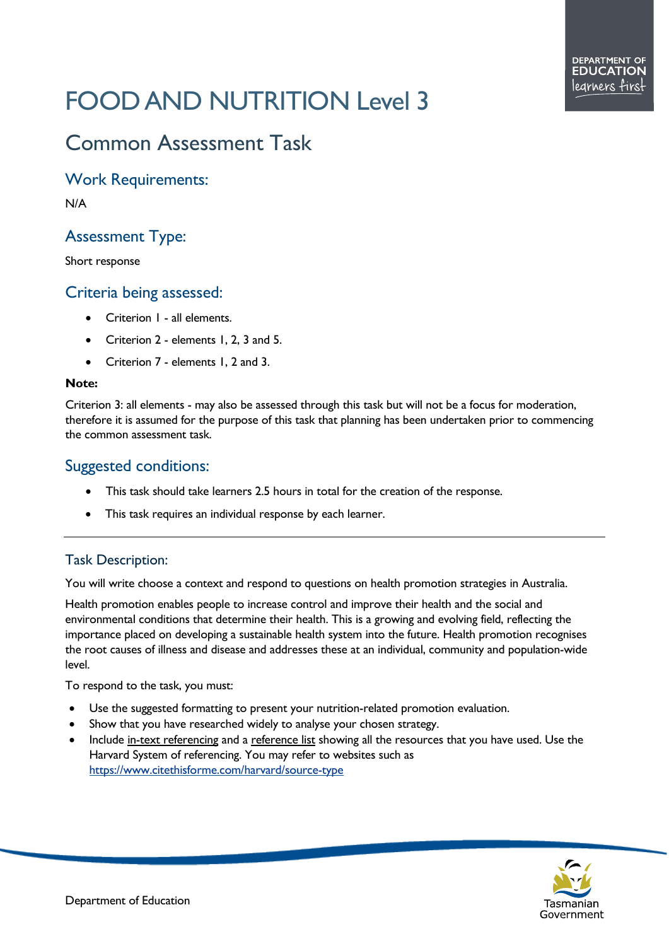# FOOD AND NUTRITION Level 3

# Common Assessment Task

## Work Requirements:

N/A

# Assessment Type:

Short response

# Criteria being assessed:

- Criterion 1 all elements.
- Criterion 2 elements 1, 2, 3 and 5.
- Criterion 7 elements 1, 2 and 3.

#### **Note:**

Criterion 3: all elements - may also be assessed through this task but will not be a focus for moderation, therefore it is assumed for the purpose of this task that planning has been undertaken prior to commencing the common assessment task.

# Suggested conditions:

- This task should take learners 2.5 hours in total for the creation of the response.
- This task requires an individual response by each learner.

### Task Description:

You will write choose a context and respond to questions on health promotion strategies in Australia.

Health promotion enables people to increase control and improve their health and the social and environmental conditions that determine their health. This is a growing and evolving field, reflecting the importance placed on developing a sustainable health system into the future. Health promotion recognises the root causes of illness and disease and addresses these at an individual, community and population-wide level.

To respond to the task, you must:

- Use the suggested formatting to present your nutrition-related promotion evaluation.
- Show that you have researched widely to analyse your chosen strategy.
- Include in-text referencing and a reference list showing all the resources that you have used. Use the Harvard System of referencing. You may refer to websites such as <https://www.citethisforme.com/harvard/source-type>